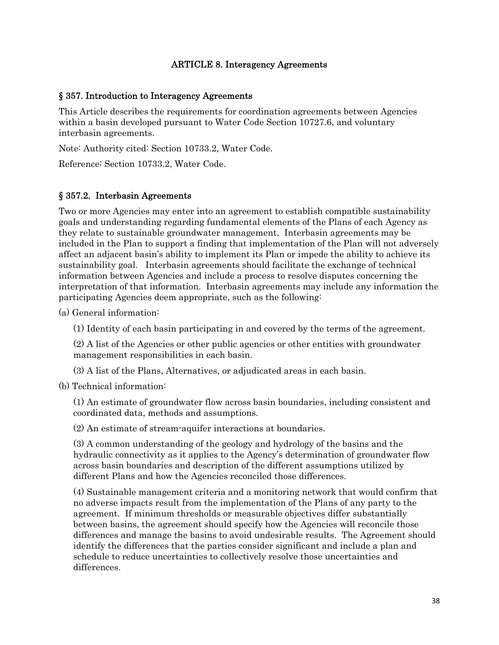## ARTICLE 8. Interagency Agreements

## § 357. Introduction to Interagency Agreements

This Article describes the requirements for coordination agreements between Agencies within a basin developed pursuant to Water Code Section 10727.6, and voluntary interbasin agreements.

Note: Authority cited: Section 10733.2, Water Code.

Reference: Section 10733.2, Water Code.

## § 357.2. Interbasin Agreements

Two or more Agencies may enter into an agreement to establish compatible sustainability goals and understanding regarding fundamental elements of the Plans of each Agency as they relate to sustainable groundwater management. Interbasin agreements may be included in the Plan to support a finding that implementation of the Plan will not adversely affect an adjacent basin's ability to implement its Plan or impede the ability to achieve its sustainability goal. Interbasin agreements should facilitate the exchange of technical information between Agencies and include a process to resolve disputes concerning the interpretation of that information. Interbasin agreements may include any information the participating Agencies deem appropriate, such as the following:

(a) General information:

(1) Identity of each basin participating in and covered by the terms of the agreement.

(2) A list of the Agencies or other public agencies or other entities with groundwater management responsibilities in each basin.

(3) A list of the Plans, Alternatives, or adjudicated areas in each basin.

(b) Technical information:

(1) An estimate of groundwater flow across basin boundaries, including consistent and coordinated data, methods and assumptions.

(2) An estimate of stream-aquifer interactions at boundaries.

(3) A common understanding of the geology and hydrology of the basins and the hydraulic connectivity as it applies to the Agency's determination of groundwater flow across basin boundaries and description of the different assumptions utilized by different Plans and how the Agencies reconciled those differences.

(4) Sustainable management criteria and a monitoring network that would confirm that no adverse impacts result from the implementation of the Plans of any party to the agreement. If minimum thresholds or measurable objectives differ substantially between basins, the agreement should specify how the Agencies will reconcile those differences and manage the basins to avoid undesirable results. The Agreement should identify the differences that the parties consider significant and include a plan and schedule to reduce uncertainties to collectively resolve those uncertainties and differences.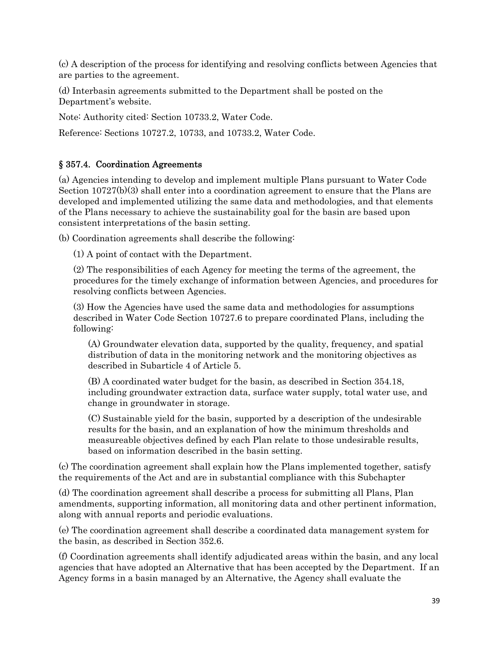(c) A description of the process for identifying and resolving conflicts between Agencies that are parties to the agreement.

(d) Interbasin agreements submitted to the Department shall be posted on the Department's website.

Note: Authority cited: Section 10733.2, Water Code.

Reference: Sections 10727.2, 10733, and 10733.2, Water Code.

## § 357.4. Coordination Agreements

(a) Agencies intending to develop and implement multiple Plans pursuant to Water Code Section 10727(b)(3) shall enter into a coordination agreement to ensure that the Plans are developed and implemented utilizing the same data and methodologies, and that elements of the Plans necessary to achieve the sustainability goal for the basin are based upon consistent interpretations of the basin setting.

(b) Coordination agreements shall describe the following:

(1) A point of contact with the Department.

(2) The responsibilities of each Agency for meeting the terms of the agreement, the procedures for the timely exchange of information between Agencies, and procedures for resolving conflicts between Agencies.

(3) How the Agencies have used the same data and methodologies for assumptions described in Water Code Section 10727.6 to prepare coordinated Plans, including the following:

(A) Groundwater elevation data, supported by the quality, frequency, and spatial distribution of data in the monitoring network and the monitoring objectives as described in Subarticle 4 of Article 5.

(B) A coordinated water budget for the basin, as described in Section 354.18, including groundwater extraction data, surface water supply, total water use, and change in groundwater in storage.

(C) Sustainable yield for the basin, supported by a description of the undesirable results for the basin, and an explanation of how the minimum thresholds and measureable objectives defined by each Plan relate to those undesirable results, based on information described in the basin setting.

(c) The coordination agreement shall explain how the Plans implemented together, satisfy the requirements of the Act and are in substantial compliance with this Subchapter

(d) The coordination agreement shall describe a process for submitting all Plans, Plan amendments, supporting information, all monitoring data and other pertinent information, along with annual reports and periodic evaluations.

(e) The coordination agreement shall describe a coordinated data management system for the basin, as described in Section 352.6.

(f) Coordination agreements shall identify adjudicated areas within the basin, and any local agencies that have adopted an Alternative that has been accepted by the Department. If an Agency forms in a basin managed by an Alternative, the Agency shall evaluate the